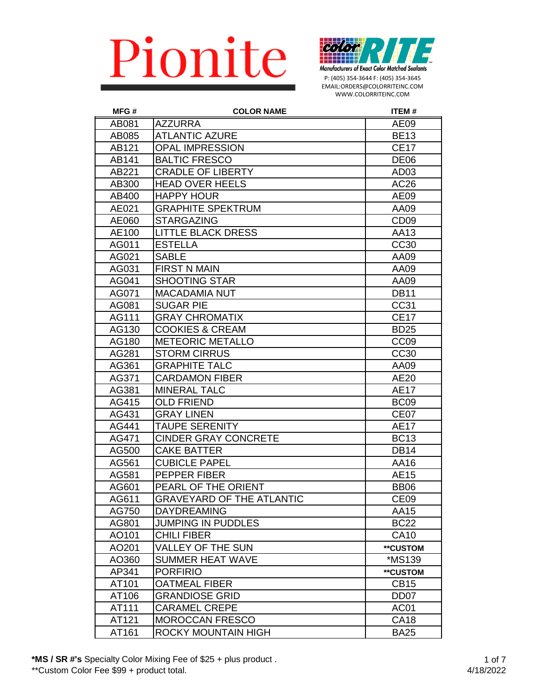

P: (405) 354-3644 F: (405) 354-3645 EMAIL:ORDERS@COLORRITEINC.COM WWW.COLORRITEINC.COM

| MFG#  | <b>COLOR NAME</b>                | <b>ITEM#</b>     |
|-------|----------------------------------|------------------|
| AB081 | <b>AZZURRA</b>                   | <b>AE09</b>      |
| AB085 | <b>ATLANTIC AZURE</b>            | <b>BE13</b>      |
| AB121 | <b>OPAL IMPRESSION</b>           | <b>CE17</b>      |
| AB141 | <b>BALTIC FRESCO</b>             | <b>DE06</b>      |
| AB221 | <b>CRADLE OF LIBERTY</b>         | AD <sub>03</sub> |
| AB300 | <b>HEAD OVER HEELS</b>           | AC26             |
| AB400 | <b>HAPPY HOUR</b>                | <b>AE09</b>      |
| AE021 | <b>GRAPHITE SPEKTRUM</b>         | AA09             |
| AE060 | <b>STARGAZING</b>                | CD <sub>09</sub> |
| AE100 | <b>LITTLE BLACK DRESS</b>        | AA13             |
| AG011 | <b>ESTELLA</b>                   | CC30             |
| AG021 | <b>SABLE</b>                     | AA09             |
| AG031 | <b>FIRST N MAIN</b>              | AA09             |
| AG041 | <b>SHOOTING STAR</b>             | AA09             |
| AG071 | <b>MACADAMIA NUT</b>             | <b>DB11</b>      |
| AG081 | <b>SUGAR PIE</b>                 | CC31             |
| AG111 | <b>GRAY CHROMATIX</b>            | <b>CE17</b>      |
| AG130 | <b>COOKIES &amp; CREAM</b>       | <b>BD25</b>      |
| AG180 | <b>METEORIC METALLO</b>          | CC <sub>09</sub> |
| AG281 | <b>STORM CIRRUS</b>              | <b>CC30</b>      |
| AG361 | <b>GRAPHITE TALC</b>             | AA09             |
| AG371 | <b>CARDAMON FIBER</b>            | AE20             |
| AG381 | <b>MINERAL TALC</b>              | <b>AE17</b>      |
| AG415 | <b>OLD FRIEND</b>                | BC <sub>09</sub> |
| AG431 | <b>GRAY LINEN</b>                | CE <sub>07</sub> |
| AG441 | <b>TAUPE SERENITY</b>            | <b>AE17</b>      |
| AG471 | <b>CINDER GRAY CONCRETE</b>      | <b>BC13</b>      |
| AG500 | <b>CAKE BATTER</b>               | <b>DB14</b>      |
| AG561 | <b>CUBICLE PAPEL</b>             | AA16             |
| AG581 | PEPPER FIBER                     | <b>AE15</b>      |
| AG601 | PEARL OF THE ORIENT              | <b>BB06</b>      |
| AG611 | <b>GRAVEYARD OF THE ATLANTIC</b> | CE <sub>09</sub> |
| AG750 | <b>DAYDREAMING</b>               | AA15             |
| AG801 | <b>JUMPING IN PUDDLES</b>        | <b>BC22</b>      |
| AO101 | <b>CHILI FIBER</b>               | <b>CA10</b>      |
| AO201 | <b>VALLEY OF THE SUN</b>         | **CUSTOM         |
| AO360 | <b>SUMMER HEAT WAVE</b>          | *MS139           |
| AP341 | <b>PORFIRIO</b>                  | **CUSTOM         |
| AT101 | <b>OATMEAL FIBER</b>             | <b>CB15</b>      |
| AT106 | <b>GRANDIOSE GRID</b>            | DD <sub>07</sub> |
| AT111 | <b>CARAMEL CREPE</b>             | AC <sub>01</sub> |
| AT121 | MOROCCAN FRESCO                  | <b>CA18</b>      |
| AT161 | ROCKY MOUNTAIN HIGH              | <b>BA25</b>      |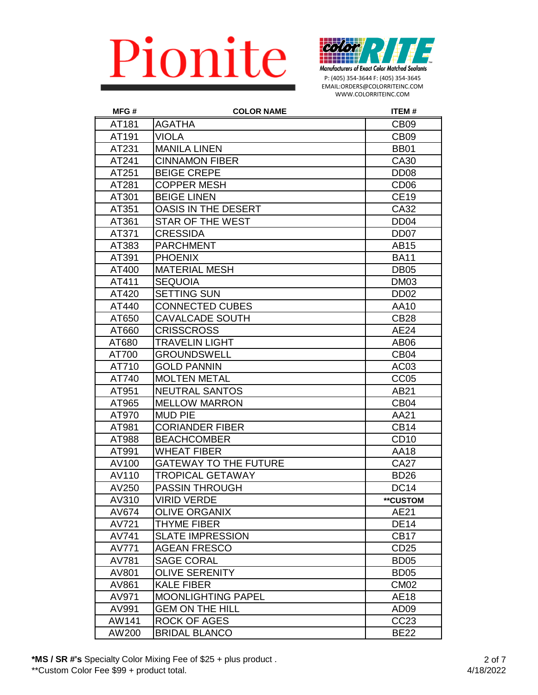

P: (405) 354-3644 F: (405) 354-3645 EMAIL:ORDERS@COLORRITEINC.COM WWW.COLORRITEINC.COM

| MFG#  | <b>COLOR NAME</b>            | <b>ITEM#</b>     |
|-------|------------------------------|------------------|
| AT181 | AGATHA                       | CB <sub>09</sub> |
| AT191 | <b>VIOLA</b>                 | CB <sub>09</sub> |
| AT231 | <b>MANILA LINEN</b>          | <b>BB01</b>      |
| AT241 | <b>CINNAMON FIBER</b>        | CA30             |
| AT251 | <b>BEIGE CREPE</b>           | DD <sub>08</sub> |
| AT281 | <b>COPPER MESH</b>           | CD <sub>06</sub> |
| AT301 | <b>BEIGE LINEN</b>           | <b>CE19</b>      |
| AT351 | OASIS IN THE DESERT          | CA32             |
| AT361 | <b>STAR OF THE WEST</b>      | DD <sub>04</sub> |
| AT371 | <b>CRESSIDA</b>              | DD <sub>07</sub> |
| AT383 | <b>PARCHMENT</b>             | AB15             |
| AT391 | <b>PHOENIX</b>               | <b>BA11</b>      |
| AT400 | <b>MATERIAL MESH</b>         | <b>DB05</b>      |
| AT411 | <b>SEQUOIA</b>               | <b>DM03</b>      |
| AT420 | <b>SETTING SUN</b>           | DD <sub>02</sub> |
| AT440 | <b>CONNECTED CUBES</b>       | AA10             |
| AT650 | <b>CAVALCADE SOUTH</b>       | <b>CB28</b>      |
| AT660 | <b>CRISSCROSS</b>            | <b>AE24</b>      |
| AT680 | <b>TRAVELIN LIGHT</b>        | AB06             |
| AT700 | <b>GROUNDSWELL</b>           | CB <sub>04</sub> |
| AT710 | <b>GOLD PANNIN</b>           | AC <sub>03</sub> |
| AT740 | <b>MOLTEN METAL</b>          | CC <sub>05</sub> |
| AT951 | <b>NEUTRAL SANTOS</b>        | AB21             |
| AT965 | <b>MELLOW MARRON</b>         | CB <sub>04</sub> |
| AT970 | <b>MUD PIE</b>               | AA21             |
| AT981 | <b>CORIANDER FIBER</b>       | <b>CB14</b>      |
| AT988 | <b>BEACHCOMBER</b>           | CD <sub>10</sub> |
| AT991 | WHEAT FIBER                  | <b>AA18</b>      |
| AV100 | <b>GATEWAY TO THE FUTURE</b> | <b>CA27</b>      |
| AV110 | TROPICAL GETAWAY             | <b>BD26</b>      |
| AV250 | <b>PASSIN THROUGH</b>        | <b>DC14</b>      |
| AV310 | <b>VIRID VERDE</b>           | **CUSTOM         |
| AV674 | <b>OLIVE ORGANIX</b>         | AE21             |
| AV721 | <b>THYME FIBER</b>           | <b>DE14</b>      |
| AV741 | <b>SLATE IMPRESSION</b>      | CB <sub>17</sub> |
| AV771 | <b>AGEAN FRESCO</b>          | CD25             |
| AV781 | <b>SAGE CORAL</b>            | BD <sub>05</sub> |
| AV801 | <b>OLIVE SERENITY</b>        | BD <sub>05</sub> |
| AV861 | <b>KALE FIBER</b>            | <b>CM02</b>      |
| AV971 | <b>MOONLIGHTING PAPEL</b>    | <b>AE18</b>      |
| AV991 | <b>GEM ON THE HILL</b>       | AD <sub>09</sub> |
| AW141 | ROCK OF AGES                 | CC <sub>23</sub> |
| AW200 | <b>BRIDAL BLANCO</b>         | <b>BE22</b>      |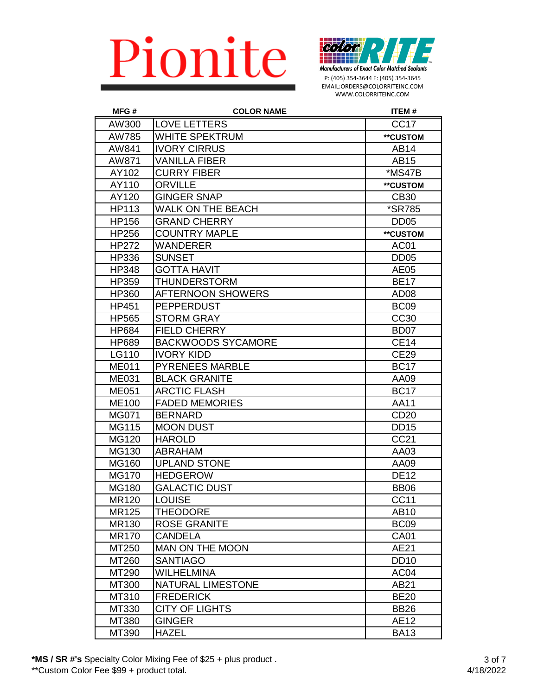

P: (405) 354-3644 F: (405) 354-3645 EMAIL:ORDERS@COLORRITEINC.COM WWW.COLORRITEINC.COM

| MFG#         | <b>COLOR NAME</b>         | <b>ITEM#</b>         |
|--------------|---------------------------|----------------------|
| AW300        | <b>LOVE LETTERS</b>       | CC <sub>17</sub>     |
| AW785        | <b>WHITE SPEKTRUM</b>     | **CUSTOM             |
| AW841        | <b>IVORY CIRRUS</b>       | AB14                 |
| AW871        | <b>VANILLA FIBER</b>      | AB15                 |
| AY102        | <b>CURRY FIBER</b>        | *MS47B               |
| AY110        | <b>ORVILLE</b>            | **CUSTOM             |
| AY120        | <b>GINGER SNAP</b>        | <b>CB30</b>          |
| HP113        | WALK ON THE BEACH         | <i><b>*SR785</b></i> |
| <b>HP156</b> | <b>GRAND CHERRY</b>       | DD <sub>05</sub>     |
| HP256        | <b>COUNTRY MAPLE</b>      | **CUSTOM             |
| <b>HP272</b> | WANDERER                  | AC <sub>01</sub>     |
| HP336        | <b>SUNSET</b>             | <b>DD05</b>          |
| <b>HP348</b> | <b>GOTTA HAVIT</b>        | AE05                 |
| HP359        | THUNDERSTORM              | <b>BE17</b>          |
| HP360        | <b>AFTERNOON SHOWERS</b>  | AD <sub>08</sub>     |
| HP451        | <b>PEPPERDUST</b>         | BC <sub>09</sub>     |
| <b>HP565</b> | <b>STORM GRAY</b>         | <b>CC30</b>          |
| HP684        | <b>FIELD CHERRY</b>       | BD <sub>07</sub>     |
| HP689        | <b>BACKWOODS SYCAMORE</b> | <b>CE14</b>          |
| LG110        | <b>IVORY KIDD</b>         | <b>CE29</b>          |
| <b>ME011</b> | <b>PYRENEES MARBLE</b>    | <b>BC17</b>          |
| <b>ME031</b> | <b>BLACK GRANITE</b>      | AA09                 |
| <b>ME051</b> | <b>ARCTIC FLASH</b>       | <b>BC17</b>          |
| <b>ME100</b> | <b>FADED MEMORIES</b>     | <b>AA11</b>          |
| MG071        | <b>BERNARD</b>            | CD <sub>20</sub>     |
| MG115        | <b>MOON DUST</b>          | <b>DD15</b>          |
| MG120        | <b>HAROLD</b>             | CC21                 |
| MG130        | <b>ABRAHAM</b>            | AA03                 |
| MG160        | <b>UPLAND STONE</b>       | AA09                 |
| <b>MG170</b> | <b>HEDGEROW</b>           | <b>DE12</b>          |
| <b>MG180</b> | <b>GALACTIC DUST</b>      | <b>BB06</b>          |
| MR120        | <b>LOUISE</b>             | CC11                 |
| MR125        | <b>THEODORE</b>           | AB10                 |
| MR130        | <b>ROSE GRANITE</b>       | BC <sub>09</sub>     |
| <b>MR170</b> | <b>CANDELA</b>            | <b>CA01</b>          |
| MT250        | MAN ON THE MOON           | AE21                 |
| MT260        | <b>SANTIAGO</b>           | <b>DD10</b>          |
| MT290        | <b>WILHELMINA</b>         | AC <sub>04</sub>     |
| MT300        | <b>NATURAL LIMESTONE</b>  | AB21                 |
| MT310        | <b>FREDERICK</b>          | <b>BE20</b>          |
| MT330        | <b>CITY OF LIGHTS</b>     | <b>BB26</b>          |
| MT380        | <b>GINGER</b>             | AE12                 |
| MT390        | <b>HAZEL</b>              | <b>BA13</b>          |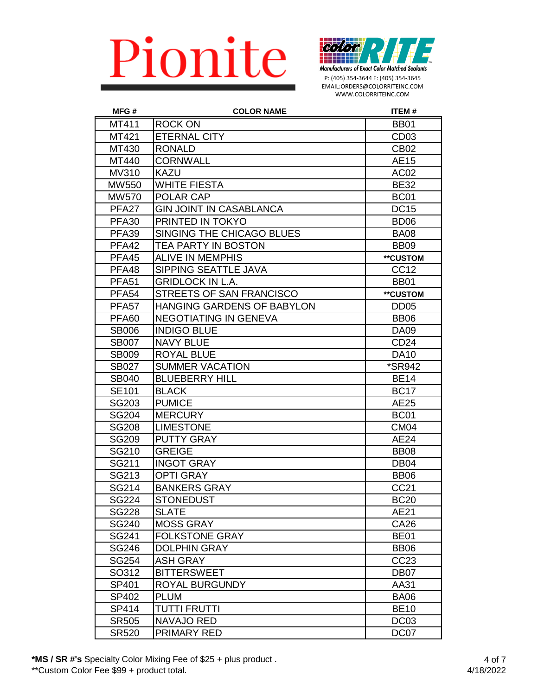

P: (405) 354-3644 F: (405) 354-3645 EMAIL:ORDERS@COLORRITEINC.COM WWW.COLORRITEINC.COM

| MFG#              | <b>COLOR NAME</b>                 | <b>ITEM#</b>     |
|-------------------|-----------------------------------|------------------|
| MT411             | <b>ROCK ON</b>                    | <b>BB01</b>      |
| MT421             | <b>ETERNAL CITY</b>               | CD <sub>03</sub> |
| MT430             | <b>RONALD</b>                     | CB <sub>02</sub> |
| MT440             | <b>CORNWALL</b>                   | <b>AE15</b>      |
| MV310             | <b>KAZU</b>                       | AC <sub>02</sub> |
| MW550             | <b>WHITE FIESTA</b>               | <b>BE32</b>      |
| MW570             | POLAR CAP                         | <b>BC01</b>      |
| PFA <sub>27</sub> | <b>GIN JOINT IN CASABLANCA</b>    | <b>DC15</b>      |
| <b>PFA30</b>      | PRINTED IN TOKYO                  | BD <sub>06</sub> |
| <b>PFA39</b>      | SINGING THE CHICAGO BLUES         | <b>BA08</b>      |
| PFA42             | TEA PARTY IN BOSTON               | <b>BB09</b>      |
| PFA45             | <b>ALIVE IN MEMPHIS</b>           | **CUSTOM         |
| PFA48             | SIPPING SEATTLE JAVA              | CC <sub>12</sub> |
| <b>PFA51</b>      | <b>GRIDLOCK IN L.A.</b>           | <b>BB01</b>      |
| <b>PFA54</b>      | STREETS OF SAN FRANCISCO          | **CUSTOM         |
| PFA <sub>57</sub> | <b>HANGING GARDENS OF BABYLON</b> | DD <sub>05</sub> |
| <b>PFA60</b>      | <b>NEGOTIATING IN GENEVA</b>      | <b>BB06</b>      |
| <b>SB006</b>      | <b>INDIGO BLUE</b>                | <b>DA09</b>      |
| <b>SB007</b>      | <b>NAVY BLUE</b>                  | CD <sub>24</sub> |
| <b>SB009</b>      | <b>ROYAL BLUE</b>                 | <b>DA10</b>      |
| <b>SB027</b>      | <b>SUMMER VACATION</b>            | *SR942           |
| <b>SB040</b>      | <b>BLUEBERRY HILL</b>             | <b>BE14</b>      |
| <b>SE101</b>      | <b>BLACK</b>                      | <b>BC17</b>      |
| SG203             | <b>PUMICE</b>                     | AE25             |
| <b>SG204</b>      | <b>MERCURY</b>                    | <b>BC01</b>      |
| <b>SG208</b>      | <b>LIMESTONE</b>                  | <b>CM04</b>      |
| <b>SG209</b>      | <b>PUTTY GRAY</b>                 | <b>AE24</b>      |
| SG210             | <b>GREIGE</b>                     | <b>BB08</b>      |
| SG211             | <b>INGOT GRAY</b>                 | DB <sub>04</sub> |
| SG213             | <b>OPTI GRAY</b>                  | <b>BB06</b>      |
| SG214             | <b>BANKERS GRAY</b>               | <b>CC21</b>      |
| <b>SG224</b>      | <b>STONEDUST</b>                  | <b>BC20</b>      |
| <b>SG228</b>      | <b>SLATE</b>                      | AE21             |
| SG240             | <b>MOSS GRAY</b>                  | <b>CA26</b>      |
| SG241             | <b>FOLKSTONE GRAY</b>             | <b>BE01</b>      |
| <b>SG246</b>      | <b>DOLPHIN GRAY</b>               | <b>BB06</b>      |
| SG254             | <b>ASH GRAY</b>                   | CC23             |
| SO312             | <b>BITTERSWEET</b>                | DB <sub>07</sub> |
| SP401             | ROYAL BURGUNDY                    | AA31             |
| SP402             | <b>PLUM</b>                       | <b>BA06</b>      |
| SP414             | <b>TUTTI FRUTTI</b>               | <b>BE10</b>      |
| <b>SR505</b>      | <b>NAVAJO RED</b>                 | DC <sub>03</sub> |
| <b>SR520</b>      | PRIMARY RED                       | DC07             |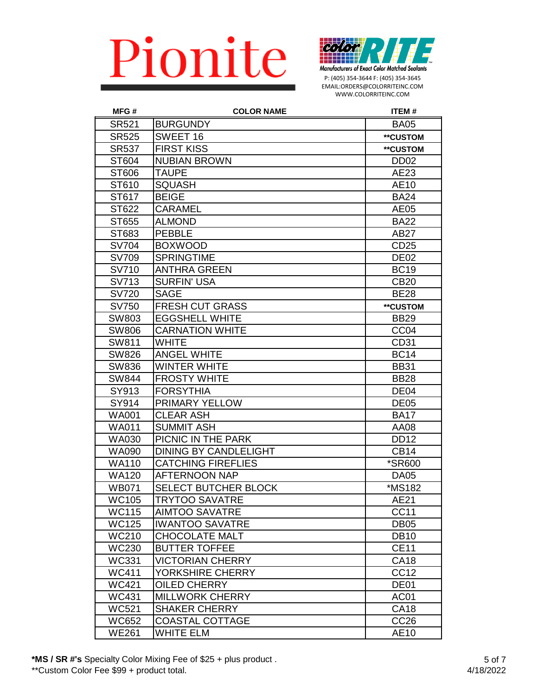

P: (405) 354-3644 F: (405) 354-3645 EMAIL:ORDERS@COLORRITEINC.COM WWW.COLORRITEINC.COM

| MFG#         | <b>COLOR NAME</b>            | <b>ITEM#</b>     |
|--------------|------------------------------|------------------|
| <b>SR521</b> | <b>BURGUNDY</b>              | <b>BA05</b>      |
| <b>SR525</b> | SWEET 16                     | **CUSTOM         |
| <b>SR537</b> | FIRST KISS                   | **CUSTOM         |
| ST604        | NUBIAN BROWN                 | DD <sub>02</sub> |
| ST606        | <b>TAUPE</b>                 | AE23             |
| ST610        | <b>SQUASH</b>                | AE10             |
| ST617        | <b>BEIGE</b>                 | <b>BA24</b>      |
| ST622        | CARAMEL                      | AE05             |
| ST655        | <b>ALMOND</b>                | <b>BA22</b>      |
| ST683        | <b>PEBBLE</b>                | AB27             |
| <b>SV704</b> | <b>BOXWOOD</b>               | CD <sub>25</sub> |
| <b>SV709</b> | <b>SPRINGTIME</b>            | <b>DE02</b>      |
| SV710        | <b>ANTHRA GREEN</b>          | <b>BC19</b>      |
| SV713        | SURFIN' USA                  | <b>CB20</b>      |
| <b>SV720</b> | <b>SAGE</b>                  | <b>BE28</b>      |
| SV750        | <b>FRESH CUT GRASS</b>       | **CUSTOM         |
| SW803        | <b>EGGSHELL WHITE</b>        | <b>BB29</b>      |
| <b>SW806</b> | <b>CARNATION WHITE</b>       | CC <sub>04</sub> |
| SW811        | <b>WHITE</b>                 | CD31             |
| <b>SW826</b> | ANGEL WHITE                  | <b>BC14</b>      |
| <b>SW836</b> | <b>WINTER WHITE</b>          | <b>BB31</b>      |
| <b>SW844</b> | <b>FROSTY WHITE</b>          | <b>BB28</b>      |
| SY913        | FORSYTHIA                    | DE04             |
| SY914        | PRIMARY YELLOW               | <b>DE05</b>      |
| <b>WA001</b> | <b>CLEAR ASH</b>             | <b>BA17</b>      |
| <b>WA011</b> | <b>SUMMIT ASH</b>            | AA08             |
| <b>WA030</b> | PICNIC IN THE PARK           | <b>DD12</b>      |
| <b>WA090</b> | <b>DINING BY CANDLELIGHT</b> | <b>CB14</b>      |
| <b>WA110</b> | <b>CATCHING FIREFLIES</b>    | *SR600           |
| <b>WA120</b> | <b>AFTERNOON NAP</b>         | <b>DA05</b>      |
| <b>WB071</b> | SELECT BUTCHER BLOCK         | *MS182           |
| <b>WC105</b> | <b>TRYTOO SAVATRE</b>        | AE21             |
| <b>WC115</b> | <b>AIMTOO SAVATRE</b>        | <b>CC11</b>      |
| <b>WC125</b> | <b>IWANTOO SAVATRE</b>       | DB <sub>05</sub> |
| <b>WC210</b> | <b>CHOCOLATE MALT</b>        | <b>DB10</b>      |
| <b>WC230</b> | <b>BUTTER TOFFEE</b>         | <b>CE11</b>      |
| <b>WC331</b> | <b>VICTORIAN CHERRY</b>      | <b>CA18</b>      |
| <b>WC411</b> | YORKSHIRE CHERRY             | CC <sub>12</sub> |
| <b>WC421</b> | OILED CHERRY                 | DE01             |
| <b>WC431</b> | <b>MILLWORK CHERRY</b>       | AC01             |
| <b>WC521</b> | <b>SHAKER CHERRY</b>         | <b>CA18</b>      |
| <b>WC652</b> | <b>COASTAL COTTAGE</b>       | CC <sub>26</sub> |
| <b>WE261</b> | <b>WHITE ELM</b>             | AE10             |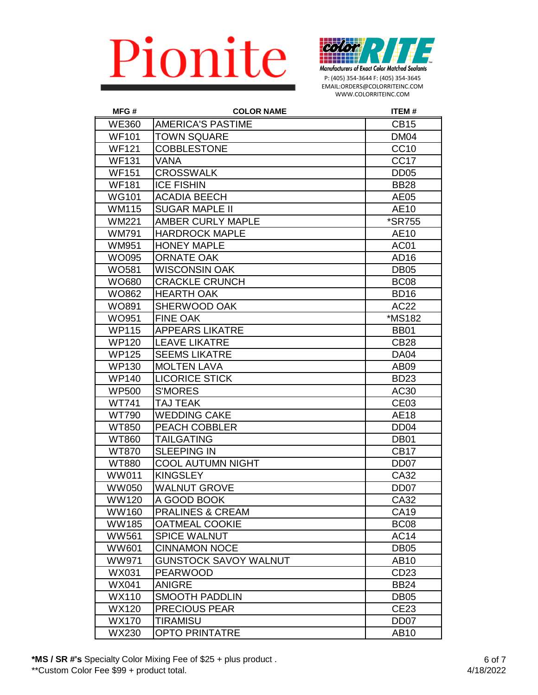

P: (405) 354-3644 F: (405) 354-3645 EMAIL:ORDERS@COLORRITEINC.COM WWW.COLORRITEINC.COM

| MFG#         | <b>COLOR NAME</b>            | <b>ITEM#</b>         |
|--------------|------------------------------|----------------------|
| <b>WE360</b> | <b>AMERICA'S PASTIME</b>     | <b>CB15</b>          |
| <b>WF101</b> | <b>TOWN SQUARE</b>           | DM <sub>04</sub>     |
| <b>WF121</b> | <b>COBBLESTONE</b>           | <b>CC10</b>          |
| <b>WF131</b> | <b>VANA</b>                  | CC <sub>17</sub>     |
| <b>WF151</b> | <b>CROSSWALK</b>             | <b>DD05</b>          |
| <b>WF181</b> | <b>ICE FISHIN</b>            | <b>BB28</b>          |
| <b>WG101</b> | <b>ACADIA BEECH</b>          | <b>AE05</b>          |
| <b>WM115</b> | <b>SUGAR MAPLE II</b>        | <b>AE10</b>          |
| <b>WM221</b> | <b>AMBER CURLY MAPLE</b>     | <i><b>*SR755</b></i> |
| <b>WM791</b> | <b>HARDROCK MAPLE</b>        | AE10                 |
| <b>WM951</b> | <b>HONEY MAPLE</b>           | AC01                 |
| <b>WO095</b> | <b>ORNATE OAK</b>            | AD <sub>16</sub>     |
| <b>WO581</b> | <b>WISCONSIN OAK</b>         | <b>DB05</b>          |
| WO680        | <b>CRACKLE CRUNCH</b>        | BC <sub>08</sub>     |
| WO862        | <b>HEARTH OAK</b>            | <b>BD16</b>          |
| <b>WO891</b> | SHERWOOD OAK                 | AC22                 |
| WO951        | <b>FINE OAK</b>              | *MS182               |
| <b>WP115</b> | <b>APPEARS LIKATRE</b>       | <b>BB01</b>          |
| <b>WP120</b> | <b>LEAVE LIKATRE</b>         | <b>CB28</b>          |
| <b>WP125</b> | <b>SEEMS LIKATRE</b>         | <b>DA04</b>          |
| <b>WP130</b> | <b>MOLTEN LAVA</b>           | AB <sub>09</sub>     |
| <b>WP140</b> | <b>LICORICE STICK</b>        | <b>BD23</b>          |
| <b>WP500</b> | <b>S'MORES</b>               | AC30                 |
| <b>WT741</b> | <b>TAJ TEAK</b>              | CE <sub>03</sub>     |
| <b>WT790</b> | <b>WEDDING CAKE</b>          | <b>AE18</b>          |
| <b>WT850</b> | PEACH COBBLER                | DD <sub>04</sub>     |
| <b>WT860</b> | <b>TAILGATING</b>            | DB <sub>01</sub>     |
| <b>WT870</b> | <b>SLEEPING IN</b>           | <b>CB17</b>          |
| <b>WT880</b> | <b>COOL AUTUMN NIGHT</b>     | DD <sub>07</sub>     |
| <b>WW011</b> | <b>KINGSLEY</b>              | CA32                 |
| <b>WW050</b> | <b>WALNUT GROVE</b>          | DD <sub>07</sub>     |
| WW120        | A GOOD BOOK                  | CA32                 |
| <b>WW160</b> | <b>PRALINES &amp; CREAM</b>  | <b>CA19</b>          |
| <b>WW185</b> | <b>OATMEAL COOKIE</b>        | BC <sub>08</sub>     |
| <b>WW561</b> | <b>SPICE WALNUT</b>          | <b>AC14</b>          |
| <b>WW601</b> | <b>CINNAMON NOCE</b>         | <b>DB05</b>          |
| <b>WW971</b> | <b>GUNSTOCK SAVOY WALNUT</b> | <b>AB10</b>          |
| WX031        | <b>PEARWOOD</b>              | CD <sub>23</sub>     |
| <b>WX041</b> | <b>ANIGRE</b>                | <b>BB24</b>          |
| <b>WX110</b> | <b>SMOOTH PADDLIN</b>        | <b>DB05</b>          |
| <b>WX120</b> | <b>PRECIOUS PEAR</b>         | <b>CE23</b>          |
| <b>WX170</b> | <b>TIRAMISU</b>              | DD <sub>07</sub>     |
| WX230        | OPTO PRINTATRE               | <b>AB10</b>          |